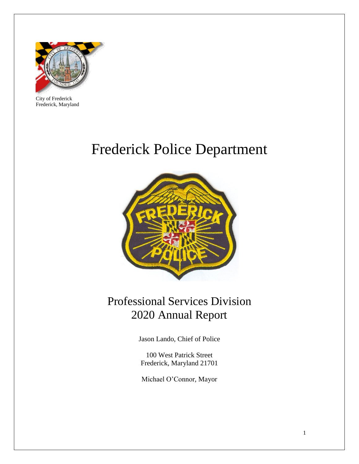

City of Frederick Frederick, Maryland

# Frederick Police Department



# Professional Services Division 2020 Annual Report

Jason Lando, Chief of Police

100 West Patrick Street Frederick, Maryland 21701

Michael O'Connor, Mayor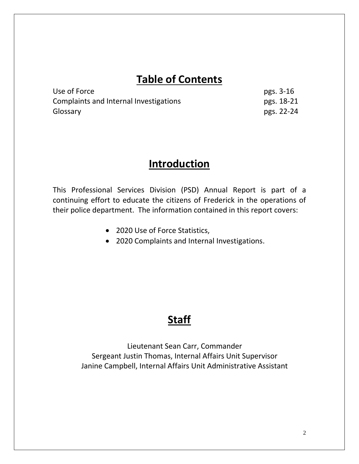### **Table of Contents**

| Use of Force                           | pgs. 3-16  |
|----------------------------------------|------------|
| Complaints and Internal Investigations | pgs. 18-21 |
| Glossary                               | pgs. 22-24 |

### **Introduction**

This Professional Services Division (PSD) Annual Report is part of a continuing effort to educate the citizens of Frederick in the operations of their police department. The information contained in this report covers:

- 2020 Use of Force Statistics,
- 2020 Complaints and Internal Investigations.

### **Staff**

Lieutenant Sean Carr, Commander Sergeant Justin Thomas, Internal Affairs Unit Supervisor Janine Campbell, Internal Affairs Unit Administrative Assistant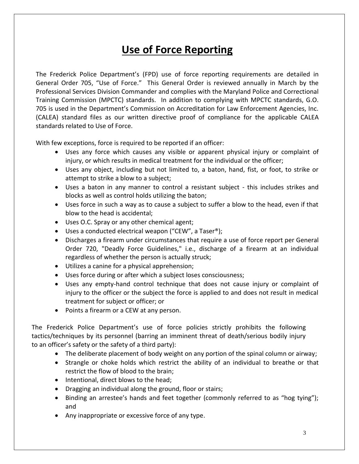# **Use of Force Reporting**

The Frederick Police Department's (FPD) use of force reporting requirements are detailed in General Order 705, "Use of Force." This General Order is reviewed annually in March by the Professional Services Division Commander and complies with the Maryland Police and Correctional Training Commission (MPCTC) standards. In addition to complying with MPCTC standards, G.O. 705 is used in the Department's Commission on Accreditation for Law Enforcement Agencies, Inc. (CALEA) standard files as our written directive proof of compliance for the applicable CALEA standards related to Use of Force.

With few exceptions, force is required to be reported if an officer:

- Uses any force which causes any visible or apparent physical injury or complaint of injury, or which results in medical treatment for the individual or the officer;
- Uses any object, including but not limited to, a baton, hand, fist, or foot, to strike or attempt to strike a blow to a subject;
- Uses a baton in any manner to control a resistant subject this includes strikes and blocks as well as control holds utilizing the baton;
- Uses force in such a way as to cause a subject to suffer a blow to the head, even if that blow to the head is accidental;
- Uses O.C. Spray or any other chemical agent;
- Uses a conducted electrical weapon ("CEW", a Taser®);
- Discharges a firearm under circumstances that require a use of force report per General Order 720, "Deadly Force Guidelines," i.e., discharge of a firearm at an individual regardless of whether the person is actually struck;
- Utilizes a canine for a physical apprehension;
- Uses force during or after which a subject loses consciousness;
- Uses any empty-hand control technique that does not cause injury or complaint of injury to the officer or the subject the force is applied to and does not result in medical treatment for subject or officer; or
- Points a firearm or a CEW at any person.

The Frederick Police Department's use of force policies strictly prohibits the following tactics/techniques by its personnel (barring an imminent threat of death/serious bodily injury to an officer's safety or the safety of a third party):

- The deliberate placement of body weight on any portion of the spinal column or airway;
- Strangle or choke holds which restrict the ability of an individual to breathe or that restrict the flow of blood to the brain;
- Intentional, direct blows to the head;
- Dragging an individual along the ground, floor or stairs;
- Binding an arrestee's hands and feet together (commonly referred to as "hog tying"); and
- Any inappropriate or excessive force of any type.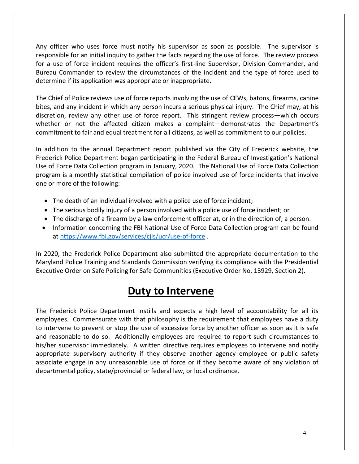Any officer who uses force must notify his supervisor as soon as possible. The supervisor is responsible for an initial inquiry to gather the facts regarding the use of force. The review process for a use of force incident requires the officer's first-line Supervisor, Division Commander, and Bureau Commander to review the circumstances of the incident and the type of force used to determine if its application was appropriate or inappropriate.

The Chief of Police reviews use of force reports involving the use of CEWs, batons, firearms, canine bites, and any incident in which any person incurs a serious physical injury. The Chief may, at his discretion, review any other use of force report. This stringent review process—which occurs whether or not the affected citizen makes a complaint—demonstrates the Department's commitment to fair and equal treatment for all citizens, as well as commitment to our policies.

In addition to the annual Department report published via the City of Frederick website, the Frederick Police Department began participating in the Federal Bureau of Investigation's National Use of Force Data Collection program in January, 2020. The National Use of Force Data Collection program is a monthly statistical compilation of police involved use of force incidents that involve one or more of the following:

- The death of an individual involved with a police use of force incident;
- The serious bodily injury of a person involved with a police use of force incident; or
- The discharge of a firearm by a law enforcement officer at, or in the direction of, a person.
- Information concerning the FBI National Use of Force Data Collection program can be found at<https://www.fbi.gov/services/cjis/ucr/use-of-force> .

In 2020, the Frederick Police Department also submitted the appropriate documentation to the Maryland Police Training and Standards Commission verifying its compliance with the Presidential Executive Order on Safe Policing for Safe Communities (Executive Order No. 13929, Section 2).

#### **Duty to Intervene**

The Frederick Police Department instills and expects a high level of accountability for all its employees. Commensurate with that philosophy is the requirement that employees have a duty to intervene to prevent or stop the use of excessive force by another officer as soon as it is safe and reasonable to do so. Additionally employees are required to report such circumstances to his/her supervisor immediately. A written directive requires employees to intervene and notify appropriate supervisory authority if they observe another agency employee or public safety associate engage in any unreasonable use of force or if they become aware of any violation of departmental policy, state/provincial or federal law, or local ordinance.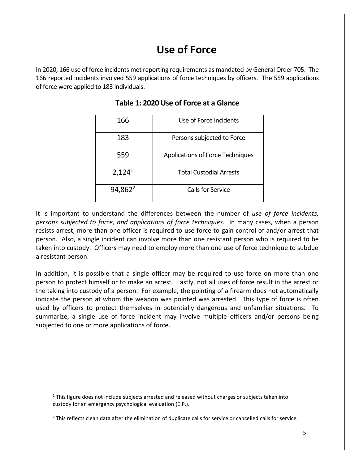# **Use of Force**

In 2020, 166 use of force incidents met reporting requirements as mandated by General Order 705. The 166 reported incidents involved 559 applications of force techniques by officers. The 559 applications of force were applied to 183 individuals.

| 166                 | Use of Force Incidents                  |
|---------------------|-----------------------------------------|
| 183                 | Persons subjected to Force              |
| 559                 | <b>Applications of Force Techniques</b> |
| 2,124 <sup>1</sup>  | <b>Total Custodial Arrests</b>          |
| 94,862 <sup>2</sup> | Calls for Service                       |

#### **Table 1: 2020 Use of Force at a Glance**

It is important to understand the differences between the number of *use of force incidents, persons subjected to force, and applications of force techniques*. In many cases, when a person resists arrest, more than one officer is required to use force to gain control of and/or arrest that person. Also, a single incident can involve more than one resistant person who is required to be taken into custody. Officers may need to employ more than one use of force technique to subdue a resistant person.

In addition, it is possible that a single officer may be required to use force on more than one person to protect himself or to make an arrest. Lastly, not all uses of force result in the arrest or the taking into custody of a person. For example, the pointing of a firearm does not automatically indicate the person at whom the weapon was pointed was arrested. This type of force is often used by officers to protect themselves in potentially dangerous and unfamiliar situations. To summarize, a single use of force incident may involve multiple officers and/or persons being subjected to one or more applications of force.

 $\overline{a}$ 

 $1$  This figure does not include subjects arrested and released without charges or subjects taken into custody for an emergency psychological evaluation (E.P.).

 $<sup>2</sup>$  This reflects clean data after the elimination of duplicate calls for service or cancelled calls for service.</sup>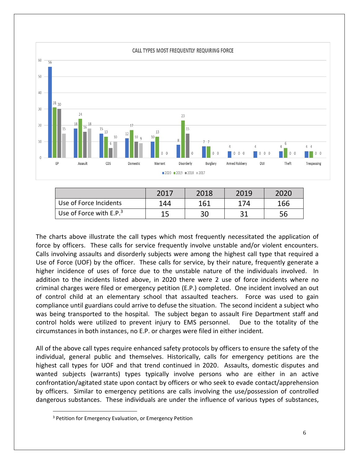

|                           | 2017 | 2018 | 2019 | 2020 |
|---------------------------|------|------|------|------|
| Use of Force Incidents    | 144  | 161  | 174  | 166  |
| Use of Force with $E.P.3$ |      | 30   |      | 56   |

The charts above illustrate the call types which most frequently necessitated the application of force by officers. These calls for service frequently involve unstable and/or violent encounters. Calls involving assaults and disorderly subjects were among the highest call type that required a Use of Force (UOF) by the officer. These calls for service, by their nature, frequently generate a higher incidence of uses of force due to the unstable nature of the individuals involved. In addition to the incidents listed above, in 2020 there were 2 use of force incidents where no criminal charges were filed or emergency petition (E.P.) completed. One incident involved an out of control child at an elementary school that assaulted teachers. Force was used to gain compliance until guardians could arrive to defuse the situation. The second incident a subject who was being transported to the hospital. The subject began to assault Fire Department staff and control holds were utilized to prevent injury to EMS personnel. Due to the totality of the circumstances in both instances, no E.P. or charges were filed in either incident.

All of the above call types require enhanced safety protocols by officers to ensure the safety of the individual, general public and themselves. Historically, calls for emergency petitions are the highest call types for UOF and that trend continued in 2020. Assaults, domestic disputes and wanted subjects (warrants) types typically involve persons who are either in an active confrontation/agitated state upon contact by officers or who seek to evade contact/apprehension by officers. Similar to emergency petitions are calls involving the use/possession of controlled dangerous substances. These individuals are under the influence of various types of substances,

 $\overline{a}$ 

<sup>&</sup>lt;sup>3</sup> Petition for Emergency Evaluation, or Emergency Petition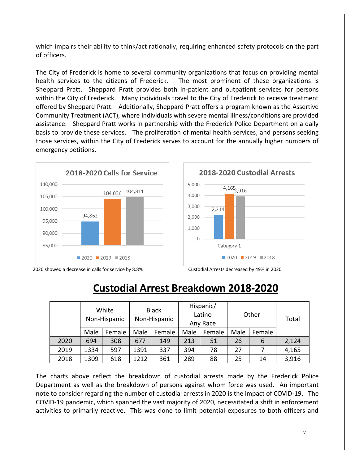which impairs their ability to think/act rationally, requiring enhanced safety protocols on the part of officers.

The City of Frederick is home to several community organizations that focus on providing mental health services to the citizens of Frederick. The most prominent of these organizations is Sheppard Pratt. Sheppard Pratt provides both in-patient and outpatient services for persons within the City of Frederick. Many individuals travel to the City of Frederick to receive treatment offered by Sheppard Pratt. Additionally, Sheppard Pratt offers a program known as the Assertive Community Treatment (ACT), where individuals with severe mental illness/conditions are provided assistance. Sheppard Pratt works in partnership with the Frederick Police Department on a daily basis to provide these services. The proliferation of mental health services, and persons seeking those services, within the City of Frederick serves to account for the annually higher numbers of emergency petitions.



5,000  $4,165$ <sub>3</sub>,916 4.000 3,000  $2,214$ 

2018-2020 Custodial Arrests



2020 showed a decrease in calls for service by 8.8% Custodial Arrests decreased by 49% in 2020

### **Custodial Arrest Breakdown 2018-2020**

|      | White<br>Non-Hispanic |        | <b>Black</b><br>Non-Hispanic |        | Hispanic/<br>Latino<br>Any Race |        | Other |        | Total |
|------|-----------------------|--------|------------------------------|--------|---------------------------------|--------|-------|--------|-------|
|      | Male                  | Female | Male                         | Female | Male                            | Female | Male  | Female |       |
| 2020 | 694                   | 308    | 677                          | 149    | 213                             | 51     | 26    | 6      | 2,124 |
| 2019 | 1334                  | 597    | 1391                         | 337    | 394                             | 78     | 27    |        | 4,165 |
| 2018 | 1309                  | 618    | 1212                         | 361    | 289                             | 88     | 25    | 14     | 3,916 |

The charts above reflect the breakdown of custodial arrests made by the Frederick Police Department as well as the breakdown of persons against whom force was used. An important note to consider regarding the number of custodial arrests in 2020 is the impact of COVID-19. The COVID-19 pandemic, which spanned the vast majority of 2020, necessitated a shift in enforcement activities to primarily reactive. This was done to limit potential exposures to both officers and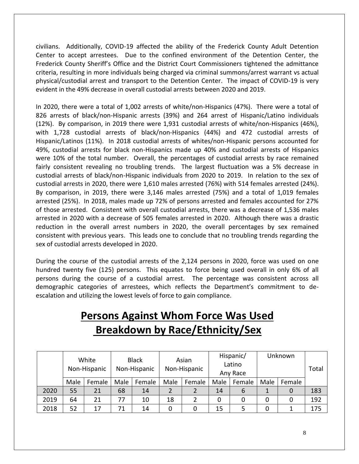civilians. Additionally, COVID-19 affected the ability of the Frederick County Adult Detention Center to accept arrestees. Due to the confined environment of the Detention Center, the Frederick County Sheriff's Office and the District Court Commissioners tightened the admittance criteria, resulting in more individuals being charged via criminal summons/arrest warrant vs actual physical/custodial arrest and transport to the Detention Center. The impact of COVID-19 is very evident in the 49% decrease in overall custodial arrests between 2020 and 2019.

In 2020, there were a total of 1,002 arrests of white/non-Hispanics (47%). There were a total of 826 arrests of black/non-Hispanic arrests (39%) and 264 arrest of Hispanic/Latino individuals (12%). By comparison, in 2019 there were 1,931 custodial arrests of white/non-Hispanics (46%), with 1,728 custodial arrests of black/non-Hispanics (44%) and 472 custodial arrests of Hispanic/Latinos (11%). In 2018 custodial arrests of whites/non-Hispanic persons accounted for 49%, custodial arrests for black non-Hispanics made up 40% and custodial arrests of Hispanics were 10% of the total number. Overall, the percentages of custodial arrests by race remained fairly consistent revealing no troubling trends. The largest fluctuation was a 5% decrease in custodial arrests of black/non-Hispanic individuals from 2020 to 2019. In relation to the sex of custodial arrests in 2020, there were 1,610 males arrested (76%) with 514 females arrested (24%). By comparison, in 2019, there were 3,146 males arrested (75%) and a total of 1,019 females arrested (25%). In 2018, males made up 72% of persons arrested and females accounted for 27% of those arrested. Consistent with overall custodial arrests, there was a decrease of 1,536 males arrested in 2020 with a decrease of 505 females arrested in 2020. Although there was a drastic reduction in the overall arrest numbers in 2020, the overall percentages by sex remained consistent with previous years. This leads one to conclude that no troubling trends regarding the sex of custodial arrests developed in 2020.

During the course of the custodial arrests of the 2,124 persons in 2020, force was used on one hundred twenty five (125) persons. This equates to force being used overall in only 6% of all persons during the course of a custodial arrest. The percentage was consistent across all demographic categories of arrestees, which reflects the Department's commitment to deescalation and utilizing the lowest levels of force to gain compliance.

# **Persons Against Whom Force Was Used Breakdown by Race/Ethnicity/Sex**

|      | White<br>Non-Hispanic |        | <b>Black</b><br>Non-Hispanic |        | Asian<br>Non-Hispanic |        |      | Hispanic/<br>Latino<br>Any Race |      | Unknown | Total |
|------|-----------------------|--------|------------------------------|--------|-----------------------|--------|------|---------------------------------|------|---------|-------|
|      | Male                  | Female | Male                         | Female | Male                  | Female | Male | Female                          | Male | Female  |       |
| 2020 | 55                    | 21     | 68                           | 14     |                       |        | 14   | 6                               |      |         | 183   |
| 2019 | 64                    | 21     | 77                           | 10     | 18                    |        |      |                                 | 0    |         | 192   |
| 2018 | 52                    | 17     | 71                           | 14     | 0                     | 0      | 15   |                                 |      |         | 175   |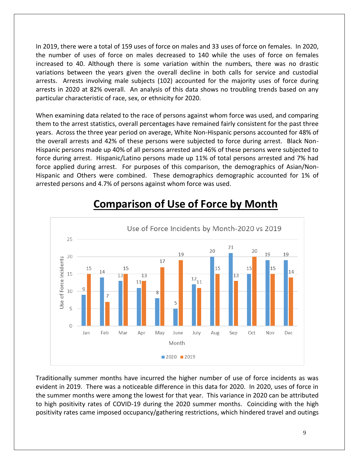In 2019, there were a total of 159 uses of force on males and 33 uses of force on females. In 2020, the number of uses of force on males decreased to 140 while the uses of force on females increased to 40. Although there is some variation within the numbers, there was no drastic variations between the years given the overall decline in both calls for service and custodial arrests. Arrests involving male subjects (102) accounted for the majority uses of force during arrests in 2020 at 82% overall. An analysis of this data shows no troubling trends based on any particular characteristic of race, sex, or ethnicity for 2020.

When examining data related to the race of persons against whom force was used, and comparing them to the arrest statistics, overall percentages have remained fairly consistent for the past three years. Across the three year period on average, White Non-Hispanic persons accounted for 48% of the overall arrests and 42% of these persons were subjected to force during arrest. Black Non-Hispanic persons made up 40% of all persons arrested and 46% of these persons were subjected to force during arrest. Hispanic/Latino persons made up 11% of total persons arrested and 7% had force applied during arrest. For purposes of this comparison, the demographics of Asian/Non-Hispanic and Others were combined. These demographics demographic accounted for 1% of arrested persons and 4.7% of persons against whom force was used.



# **Comparison of Use of Force by Month**

Traditionally summer months have incurred the higher number of use of force incidents as was evident in 2019. There was a noticeable difference in this data for 2020. In 2020, uses of force in the summer months were among the lowest for that year. This variance in 2020 can be attributed to high positivity rates of COVID-19 during the 2020 summer months. Coinciding with the high positivity rates came imposed occupancy/gathering restrictions, which hindered travel and outings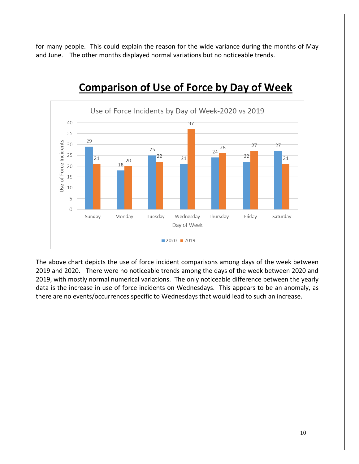for many people. This could explain the reason for the wide variance during the months of May and June. The other months displayed normal variations but no noticeable trends.



## **Comparison of Use of Force by Day of Week**

The above chart depicts the use of force incident comparisons among days of the week between 2019 and 2020. There were no noticeable trends among the days of the week between 2020 and 2019, with mostly normal numerical variations. The only noticeable difference between the yearly data is the increase in use of force incidents on Wednesdays. This appears to be an anomaly, as there are no events/occurrences specific to Wednesdays that would lead to such an increase.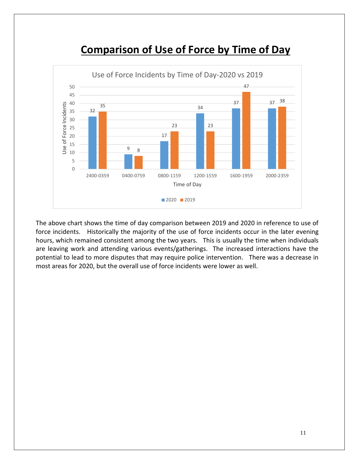

### **Comparison of Use of Force by Time of Day**

The above chart shows the time of day comparison between 2019 and 2020 in reference to use of force incidents. Historically the majority of the use of force incidents occur in the later evening hours, which remained consistent among the two years. This is usually the time when individuals are leaving work and attending various events/gatherings. The increased interactions have the potential to lead to more disputes that may require police intervention. There was a decrease in most areas for 2020, but the overall use of force incidents were lower as well.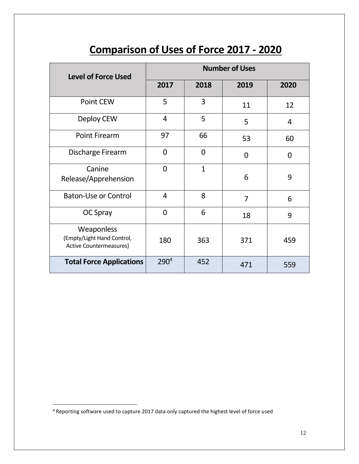# **Comparison of Uses of Force 2017 - 2020**

| <b>Level of Force Used</b>                                          | <b>Number of Uses</b> |              |                |          |  |  |
|---------------------------------------------------------------------|-----------------------|--------------|----------------|----------|--|--|
|                                                                     | 2017                  | 2018         | 2019           | 2020     |  |  |
| Point CEW                                                           | 5                     | 3            | 11             | 12       |  |  |
| Deploy CEW                                                          | $\overline{4}$        | 5            | 5              | 4        |  |  |
| <b>Point Firearm</b>                                                | 97                    | 66           | 53             | 60       |  |  |
| Discharge Firearm                                                   | $\overline{0}$        | 0<br>0       |                | $\Omega$ |  |  |
| Canine<br>Release/Apprehension                                      | $\overline{0}$        | $\mathbf{1}$ | 6              | 9        |  |  |
| <b>Baton-Use or Control</b>                                         | 4                     | 8            | $\overline{7}$ | 6        |  |  |
| OC Spray                                                            | $\Omega$              | 6            | 18             | 9        |  |  |
| Weaponless<br>(Empty/Light Hand Control,<br>Active Countermeasures) | 180                   | 363          | 371            | 459      |  |  |
| <b>Total Force Applications</b>                                     | 290 <sup>4</sup>      | 452          | 471            | 559      |  |  |

 $\overline{a}$ 

 $4$  Reporting software used to capture 2017 data only captured the highest level of force used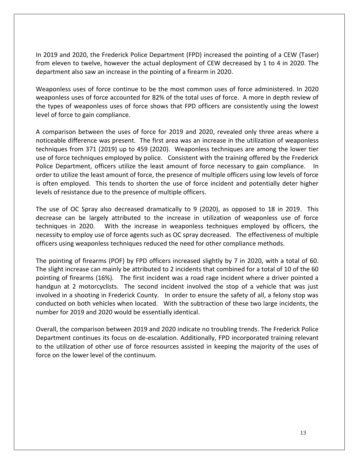In 2019 and 2020, the Frederick Police Department (FPD) increased the pointing of a CEW (Taser) from eleven to twelve, however the actual deployment of CEW decreased by 1 to 4 in 2020. The department also saw an increase in the pointing of a firearm in 2020.

Weaponless uses of force continue to be the most common uses of force administered. In 2020 weaponless uses of force accounted for 82% of the total uses of force. A more in depth review of the types of weaponless uses of force shows that FPD officers are consistently using the lowest level of force to gain compliance.

A comparison between the uses of force for 2019 and 2020, revealed only three areas where a noticeable difference was present. The first area was an increase in the utilization of weaponless techniques from 371 (2019) up to 459 (2020). Weaponless techniques are among the lower tier use of force techniques employed by police. Consistent with the training offered by the Frederick Police Department, officers utilize the least amount of force necessary to gain compliance. In order to utilize the least amount of force, the presence of multiple officers using low levels of force is often employed. This tends to shorten the use of force incident and potentially deter higher levels of resistance due to the presence of multiple officers.

The use of OC Spray also decreased dramatically to 9 (2020), as opposed to 18 in 2019. This decrease can be largely attributed to the increase in utilization of weaponless use of force techniques in 2020. With the increase in weaponless techniques employed by officers, the necessity to employ use of force agents such as OC spray decreased. The effectiveness of multiple officers using weaponless techniques reduced the need for other compliance methods.

The pointing of firearms (POF) by FPD officers increased slightly by 7 in 2020, with a total of 60. The slight increase can mainly be attributed to 2 incidents that combined for a total of 10 of the 60 pointing of firearms (16%). The first incident was a road rage incident where a driver pointed a handgun at 2 motorcyclists. The second incident involved the stop of a vehicle that was just involved in a shooting in Frederick County. In order to ensure the safety of all, a felony stop was conducted on both vehicles when located. With the subtraction of these two large incidents, the number for 2019 and 2020 would be essentially identical.

Overall, the comparison between 2019 and 2020 indicate no troubling trends. The Frederick Police Department continues its focus on de-escalation. Additionally, FPD incorporated training relevant to the utilization of other use of force resources assisted in keeping the majority of the uses of force on the lower level of the continuum.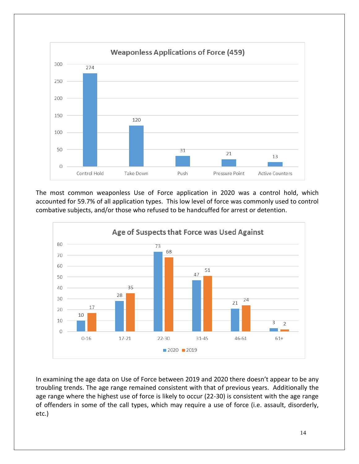

The most common weaponless Use of Force application in 2020 was a control hold, which accounted for 59.7% of all application types. This low level of force was commonly used to control combative subjects, and/or those who refused to be handcuffed for arrest or detention.



In examining the age data on Use of Force between 2019 and 2020 there doesn't appear to be any troubling trends. The age range remained consistent with that of previous years. Additionally the age range where the highest use of force is likely to occur (22-30) is consistent with the age range of offenders in some of the call types, which may require a use of force (i.e. assault, disorderly, etc.)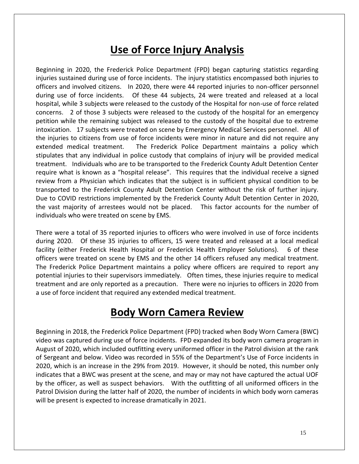### **Use of Force Injury Analysis**

Beginning in 2020, the Frederick Police Department (FPD) began capturing statistics regarding injuries sustained during use of force incidents. The injury statistics encompassed both injuries to officers and involved citizens. In 2020, there were 44 reported injuries to non-officer personnel during use of force incidents. Of these 44 subjects, 24 were treated and released at a local hospital, while 3 subjects were released to the custody of the Hospital for non-use of force related concerns. 2 of those 3 subjects were released to the custody of the hospital for an emergency petition while the remaining subject was released to the custody of the hospital due to extreme intoxication. 17 subjects were treated on scene by Emergency Medical Services personnel. All of the injuries to citizens from use of force incidents were minor in nature and did not require any extended medical treatment. The Frederick Police Department maintains a policy which stipulates that any individual in police custody that complains of injury will be provided medical treatment. Individuals who are to be transported to the Frederick County Adult Detention Center require what is known as a "hospital release". This requires that the individual receive a signed review from a Physician which indicates that the subject is in sufficient physical condition to be transported to the Frederick County Adult Detention Center without the risk of further injury. Due to COVID restrictions implemented by the Frederick County Adult Detention Center in 2020, the vast majority of arrestees would not be placed. This factor accounts for the number of individuals who were treated on scene by EMS.

There were a total of 35 reported injuries to officers who were involved in use of force incidents during 2020. Of these 35 injuries to officers, 15 were treated and released at a local medical facility (either Frederick Health Hospital or Frederick Health Employer Solutions). 6 of these officers were treated on scene by EMS and the other 14 officers refused any medical treatment. The Frederick Police Department maintains a policy where officers are required to report any potential injuries to their supervisors immediately. Often times, these injuries require to medical treatment and are only reported as a precaution. There were no injuries to officers in 2020 from a use of force incident that required any extended medical treatment.

### **Body Worn Camera Review**

Beginning in 2018, the Frederick Police Department (FPD) tracked when Body Worn Camera (BWC) video was captured during use of force incidents. FPD expanded its body worn camera program in August of 2020, which included outfitting every uniformed officer in the Patrol division at the rank of Sergeant and below. Video was recorded in 55% of the Department's Use of Force incidents in 2020, which is an increase in the 29% from 2019. However, it should be noted, this number only indicates that a BWC was present at the scene, and may or may not have captured the actual UOF by the officer, as well as suspect behaviors. With the outfitting of all uniformed officers in the Patrol Division during the latter half of 2020, the number of incidents in which body worn cameras will be present is expected to increase dramatically in 2021.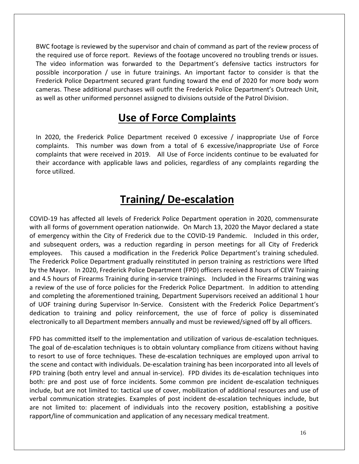BWC footage is reviewed by the supervisor and chain of command as part of the review process of the required use of force report. Reviews of the footage uncovered no troubling trends or issues. The video information was forwarded to the Department's defensive tactics instructors for possible incorporation / use in future trainings. An important factor to consider is that the Frederick Police Department secured grant funding toward the end of 2020 for more body worn cameras. These additional purchases will outfit the Frederick Police Department's Outreach Unit, as well as other uniformed personnel assigned to divisions outside of the Patrol Division.

### **Use of Force Complaints**

In 2020, the Frederick Police Department received 0 excessive / inappropriate Use of Force complaints. This number was down from a total of 6 excessive/inappropriate Use of Force complaints that were received in 2019. All Use of Force incidents continue to be evaluated for their accordance with applicable laws and policies, regardless of any complaints regarding the force utilized.

### **Training/ De-escalation**

COVID-19 has affected all levels of Frederick Police Department operation in 2020, commensurate with all forms of government operation nationwide. On March 13, 2020 the Mayor declared a state of emergency within the City of Frederick due to the COVID-19 Pandemic. Included in this order, and subsequent orders, was a reduction regarding in person meetings for all City of Frederick employees. This caused a modification in the Frederick Police Department's training scheduled. The Frederick Police Department gradually reinstituted in person training as restrictions were lifted by the Mayor. In 2020, Frederick Police Department (FPD) officers received 8 hours of CEW Training and 4.5 hours of Firearms Training during in-service trainings. Included in the Firearms training was a review of the use of force policies for the Frederick Police Department. In addition to attending and completing the aforementioned training, Department Supervisors received an additional 1 hour of UOF training during Supervisor In-Service. Consistent with the Frederick Police Department's dedication to training and policy reinforcement, the use of force of policy is disseminated electronically to all Department members annually and must be reviewed/signed off by all officers.

FPD has committed itself to the implementation and utilization of various de-escalation techniques. The goal of de-escalation techniques is to obtain voluntary compliance from citizens without having to resort to use of force techniques. These de-escalation techniques are employed upon arrival to the scene and contact with individuals. De-escalation training has been incorporated into all levels of FPD training (both entry level and annual in-service). FPD divides its de-escalation techniques into both: pre and post use of force incidents. Some common pre incident de-escalation techniques include, but are not limited to: tactical use of cover, mobilization of additional resources and use of verbal communication strategies. Examples of post incident de-escalation techniques include, but are not limited to: placement of individuals into the recovery position, establishing a positive rapport/line of communication and application of any necessary medical treatment.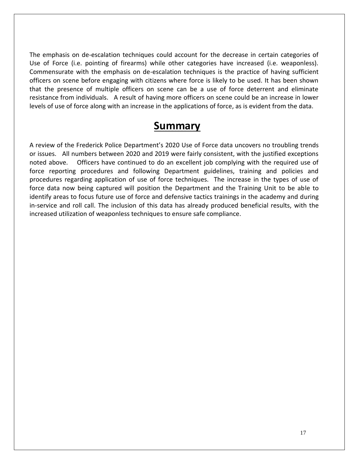The emphasis on de-escalation techniques could account for the decrease in certain categories of Use of Force (i.e. pointing of firearms) while other categories have increased (i.e. weaponless). Commensurate with the emphasis on de-escalation techniques is the practice of having sufficient officers on scene before engaging with citizens where force is likely to be used. It has been shown that the presence of multiple officers on scene can be a use of force deterrent and eliminate resistance from individuals. A result of having more officers on scene could be an increase in lower levels of use of force along with an increase in the applications of force, as is evident from the data.

#### **Summary**

A review of the Frederick Police Department's 2020 Use of Force data uncovers no troubling trends or issues. All numbers between 2020 and 2019 were fairly consistent, with the justified exceptions noted above. Officers have continued to do an excellent job complying with the required use of force reporting procedures and following Department guidelines, training and policies and procedures regarding application of use of force techniques. The increase in the types of use of force data now being captured will position the Department and the Training Unit to be able to identify areas to focus future use of force and defensive tactics trainings in the academy and during in-service and roll call. The inclusion of this data has already produced beneficial results, with the increased utilization of weaponless techniques to ensure safe compliance.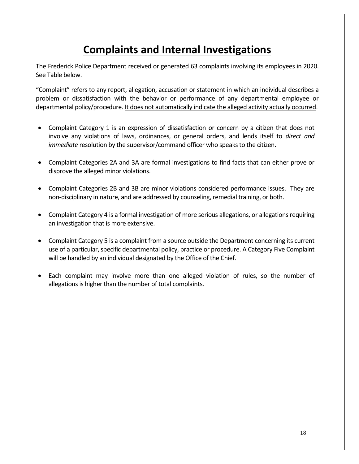# **Complaints and Internal Investigations**

The Frederick Police Department received or generated 63 complaints involving its employees in 2020. See Table below.

"Complaint" refers to any report, allegation, accusation or statement in which an individual describes a problem or dissatisfaction with the behavior or performance of any departmental employee or departmental policy/procedure. It does not automatically indicate the alleged activity actually occurred.

- Complaint Category 1 is an expression of dissatisfaction or concern by a citizen that does not involve any violations of laws, ordinances, or general orders, and lends itself to *direct and immediate* resolution by the supervisor/command officer who speaks to the citizen.
- Complaint Categories 2A and 3A are formal investigations to find facts that can either prove or disprove the alleged minor violations.
- Complaint Categories 2B and 3B are minor violations considered performance issues. They are non-disciplinary in nature, and are addressed by counseling, remedial training, or both.
- Complaint Category 4 is a formal investigation of more serious allegations, or allegations requiring an investigation that is more extensive.
- Complaint Category 5 is a complaint from a source outside the Department concerning its current use of a particular, specific departmental policy, practice or procedure. A Category Five Complaint will be handled by an individual designated by the Office of the Chief.
- Each complaint may involve more than one alleged violation of rules, so the number of allegations is higher than the number of total complaints.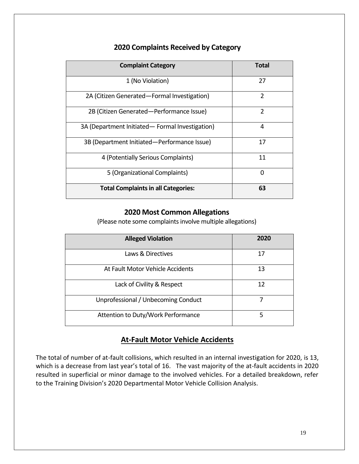| <b>Complaint Category</b>                        | Total          |
|--------------------------------------------------|----------------|
| 1 (No Violation)                                 | 27             |
| 2A (Citizen Generated-Formal Investigation)      | $\overline{2}$ |
| 2B (Citizen Generated-Performance Issue)         | $\overline{2}$ |
| 3A (Department Initiated - Formal Investigation) | 4              |
| 3B (Department Initiated-Performance Issue)      | 17             |
| 4 (Potentially Serious Complaints)               | 11             |
| 5 (Organizational Complaints)                    | O              |
| <b>Total Complaints in all Categories:</b>       | 63             |

#### **2020 Complaints Received by Category**

#### **2020 Most Common Allegations**

(Please note some complaints involve multiple allegations)

| <b>Alleged Violation</b>            | 2020 |
|-------------------------------------|------|
| Laws & Directives                   | 17   |
| At Fault Motor Vehicle Accidents    | 13   |
| Lack of Civility & Respect          | 12   |
| Unprofessional / Unbecoming Conduct |      |
| Attention to Duty/Work Performance  | 5    |

#### **At-Fault Motor Vehicle Accidents**

The total of number of at-fault collisions, which resulted in an internal investigation for 2020, is 13, which is a decrease from last year's total of 16. The vast majority of the at-fault accidents in 2020 resulted in superficial or minor damage to the involved vehicles. For a detailed breakdown, refer to the Training Division's 2020 Departmental Motor Vehicle Collision Analysis.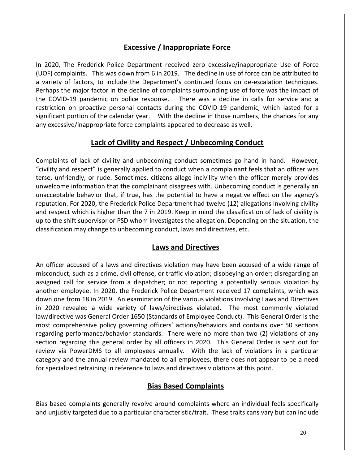#### **Excessive / Inappropriate Force**

In 2020, The Frederick Police Department received zero excessive/inappropriate Use of Force (UOF) complaints. This was down from 6 in 2019. The decline in use of force can be attributed to a variety of factors, to include the Department's continued focus on de-escalation techniques. Perhaps the major factor in the decline of complaints surrounding use of force was the impact of the COVID-19 pandemic on police response. There was a decline in calls for service and a restriction on proactive personal contacts during the COVID-19 pandemic, which lasted for a significant portion of the calendar year. With the decline in those numbers, the chances for any any excessive/inappropriate force complaints appeared to decrease as well.

#### **Lack of Civility and Respect / Unbecoming Conduct**

Complaints of lack of civility and unbecoming conduct sometimes go hand in hand. However, "civility and respect" is generally applied to conduct when a complainant feels that an officer was terse, unfriendly, or rude. Sometimes, citizens allege incivility when the officer merely provides unwelcome information that the complainant disagrees with. Unbecoming conduct is generally an unacceptable behavior that, if true, has the potential to have a negative effect on the agency's reputation. For 2020, the Frederick Police Department had twelve (12) allegations involving civility and respect which is higher than the 7 in 2019. Keep in mind the classification of lack of civility is up to the shift supervisor or PSD whom investigates the allegation. Depending on the situation, the classification may change to unbecoming conduct, laws and directives, etc.

#### **Laws and Directives**

An officer accused of a laws and directives violation may have been accused of a wide range of misconduct, such as a crime, civil offense, or traffic violation; disobeying an order; disregarding an assigned call for service from a dispatcher; or not reporting a potentially serious violation by another employee. In 2020, the Frederick Police Department received 17 complaints, which was down one from 18 in 2019. An examination of the various violations involving Laws and Directives in 2020 revealed a wide variety of laws/directives violated. The most commonly violated law/directive was General Order 1650 (Standards of Employee Conduct). This General Order is the most comprehensive policy governing officers' actions/behaviors and contains over 50 sections regarding performance/behavior standards. There were no more than two (2) violations of any section regarding this general order by all officers in 2020. This General Order is sent out for review via PowerDMS to all employees annually. With the lack of violations in a particular category and the annual review mandated to all employees, there does not appear to be a need for specialized retraining in reference to laws and directives violations at this point.

#### **Bias Based Complaints**

Bias based complaints generally revolve around complaints where an individual feels specifically and unjustly targeted due to a particular characteristic/trait. These traits cans vary but can include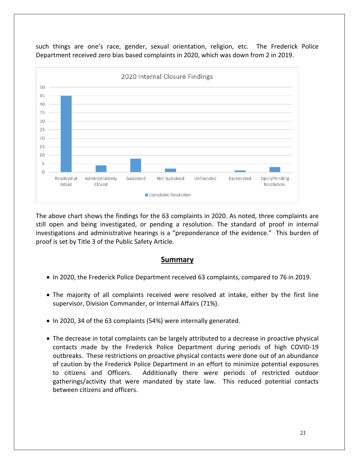such things are one's race, gender, sexual orientation, religion, etc. The Frederick Police Department received zero bias based complaints in 2020, which was down from 2 in 2019.



The above chart shows the findings for the 63 complaints in 2020. As noted, three complaints are still open and being investigated, or pending a resolution. The standard of proof in internal investigations and administrative hearings is a "preponderance of the evidence." This burden of proof is set by Title 3 of the Public Safety Article.

#### **Summary**

- In 2020, the Frederick Police Department received 63 complaints, compared to 76 in 2019.
- The majority of all complaints received were resolved at intake, either by the first line supervisor, Division Commander, or Internal Affairs (71%).
- In 2020, 34 of the 63 complaints (54%) were internally generated.
- The decrease in total complaints can be largely attributed to a decrease in proactive physical contacts made by the Frederick Police Department during periods of high COVID-19 outbreaks. These restrictions on proactive physical contacts were done out of an abundance of caution by the Frederick Police Department in an effort to minimize potential exposures to citizens and Officers. Additionally there were periods of restricted outdoor gatherings/activity that were mandated by state law. This reduced potential contacts between citizens and officers.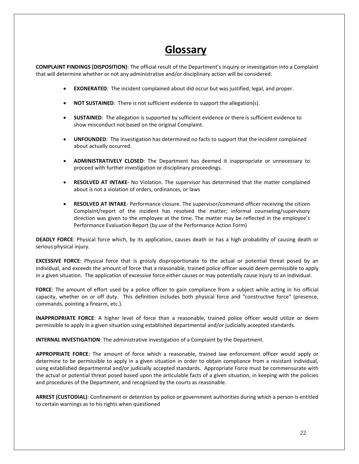#### **Glossary**

**COMPLAINT FINDINGS (DISPOSITION)**: The official result of the Department's inquiry or investigation into a Complaint that will determine whether or not any administrative and/or disciplinary action will be considered.

- **EXONERATED**: The incident complained about did occur but was justified, legal, and proper.
- **NOT SUSTAINED:** There is not sufficient evidence to support the allegation(s).
- **SUSTAINED**: The allegation is supported by sufficient evidence or there is sufficient evidence to show misconduct not based on the original Complaint.
- **UNFOUNDED**: The investigation has determined no facts to support that the incident complained about actually occurred.
- **ADMINISTRATIVELY CLOSED**: The Department has deemed it inappropriate or unnecessary to proceed with further investigation or disciplinary proceedings.
- **RESOLVED AT INTAKE** No Violation. The supervisor has determined that the matter complained about is not a violation of orders, ordinances, or laws
- **RESOLVED AT INTAKE** Performance closure. The supervisor/command officer receiving the citizen Complaint/report of the incident has resolved the matter; informal counseling/supervisory direction was given to the employee at the time. The matter may be reflected in the employee's Performance Evaluation Report (by use of the Performance Action Form)

**DEADLY FORCE**: Physical force which, by its application, causes death or has a high probability of causing death or serious physical injury.

**EXCESSIVE FORCE**: Physical force that is grossly disproportionate to the actual or potential threat posed by an individual, and exceeds the amount of force that a reasonable, trained police officer would deem permissible to apply in a given situation. The application of excessive force either causes or may potentially cause injury to an individual.

**FORCE**: The amount of effort used by a police officer to gain compliance from a subject while acting in his official capacity, whether on or off duty. This definition includes both physical force and "constructive force" (presence, commands, pointing a firearm, etc.).

**INAPPROPRIATE FORCE**: A higher level of force than a reasonable, trained police officer would utilize or deem permissible to apply in a given situation using established departmental and/or judicially accepted standards.

**INTERNAL INVESTIGATION**: The administrative investigation of a Complaint by the Department.

**APPROPRIATE FORCE**: The amount of force which a reasonable, trained law enforcement officer would apply or determine to be permissible to apply in a given situation in order to obtain compliance from a resistant individual, using established departmental and/or judicially accepted standards. Appropriate Force must be commensurate with the actual or potential threat posed based upon the articulable facts of a given situation, in keeping with the policies and procedures of the Department, and recognized by the courts as reasonable.

**ARREST (CUSTODIAL)**: Confinement or detention by police or government authorities during which a person is entitled to certain warnings as to his rights when questioned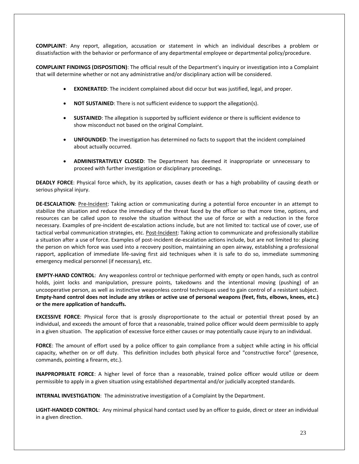**COMPLAINT**: Any report, allegation, accusation or statement in which an individual describes a problem or dissatisfaction with the behavior or performance of any departmental employee or departmental policy/procedure.

**COMPLAINT FINDINGS (DISPOSITION)**: The official result of the Department's inquiry or investigation into a Complaint that will determine whether or not any administrative and/or disciplinary action will be considered.

- **EXONERATED**: The incident complained about did occur but was justified, legal, and proper.
- **NOT SUSTAINED:** There is not sufficient evidence to support the allegation(s).
- **SUSTAINED**: The allegation is supported by sufficient evidence or there is sufficient evidence to show misconduct not based on the original Complaint.
- **UNFOUNDED**: The investigation has determined no facts to support that the incident complained about actually occurred.
- **ADMINISTRATIVELY CLOSED**: The Department has deemed it inappropriate or unnecessary to proceed with further investigation or disciplinary proceedings.

**DEADLY FORCE**: Physical force which, by its application, causes death or has a high probability of causing death or serious physical injury.

**DE-ESCALATION**: Pre-Incident: Taking action or communicating during a potential force encounter in an attempt to stabilize the situation and reduce the immediacy of the threat faced by the officer so that more time, options, and resources can be called upon to resolve the situation without the use of force or with a reduction in the force necessary. Examples of pre-incident de-escalation actions include, but are not limited to: tactical use of cover, use of tactical verbal communication strategies, etc. Post-Incident: Taking action to communicate and professionally stabilize a situation after a use of force. Examples of post-incident de-escalation actions include, but are not limited to: placing the person on which force was used into a recovery position, maintaining an open airway, establishing a professional rapport, application of immediate life-saving first aid techniques when it is safe to do so, immediate summoning emergency medical personnel (if necessary), etc.

**EMPTY-HAND CONTROL**: Any weaponless control or technique performed with empty or open hands, such as control holds, joint locks and manipulation, pressure points, takedowns and the intentional moving (pushing) of an uncooperative person, as well as instinctive weaponless control techniques used to gain control of a resistant subject. **Empty-hand control does not include any strikes or active use of personal weapons (feet, fists, elbows, knees, etc.) or the mere application of handcuffs.**

**EXCESSIVE FORCE**: Physical force that is grossly disproportionate to the actual or potential threat posed by an individual, and exceeds the amount of force that a reasonable, trained police officer would deem permissible to apply in a given situation. The application of excessive force either causes or may potentially cause injury to an individual.

**FORCE**: The amount of effort used by a police officer to gain compliance from a subject while acting in his official capacity, whether on or off duty. This definition includes both physical force and "constructive force" (presence, commands, pointing a firearm, etc.).

**INAPPROPRIATE FORCE**: A higher level of force than a reasonable, trained police officer would utilize or deem permissible to apply in a given situation using established departmental and/or judicially accepted standards.

**INTERNAL INVESTIGATION**: The administrative investigation of a Complaint by the Department.

**LIGHT-HANDED CONTROL**: Any minimal physical hand contact used by an officer to guide, direct or steer an individual in a given direction.